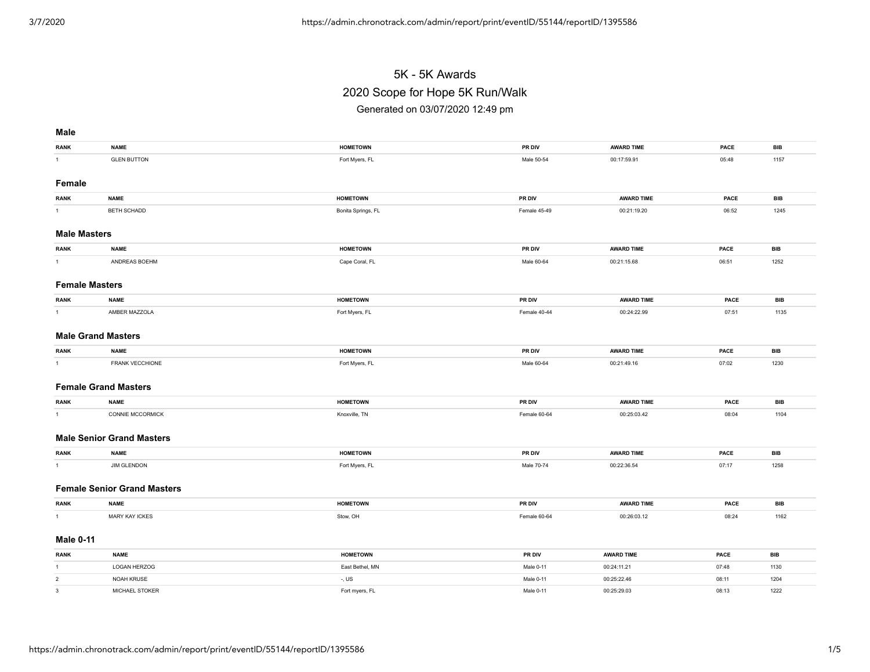# 5K - 5K Awards 2020 Scope for Hope 5K Run/Walk Generated on 03/07/2020 12:49 pm

#### **Male**

| <b>RANK</b>               | <b>NAME</b>                        | <b>HOMETOWN</b>    | PR DIV       | <b>AWARD TIME</b> | PACE  | BIB        |  |  |  |
|---------------------------|------------------------------------|--------------------|--------------|-------------------|-------|------------|--|--|--|
| 1                         | <b>GLEN BUTTON</b>                 | Fort Myers, FL     | Male 50-54   | 00:17:59.91       | 05:48 | 1157       |  |  |  |
|                           |                                    |                    |              |                   |       |            |  |  |  |
| Female                    |                                    |                    |              |                   |       |            |  |  |  |
| <b>RANK</b>               | <b>NAME</b>                        | <b>HOMETOWN</b>    | PR DIV       | <b>AWARD TIME</b> | PACE  | <b>BIB</b> |  |  |  |
| $\mathbf{1}$              | BETH SCHADD                        | Bonita Springs, FL | Female 45-49 | 00:21:19.20       | 06:52 | 1245       |  |  |  |
|                           |                                    |                    |              |                   |       |            |  |  |  |
| <b>Male Masters</b>       |                                    |                    |              |                   |       |            |  |  |  |
| <b>RANK</b>               | <b>NAME</b>                        | <b>HOMETOWN</b>    | PR DIV       | <b>AWARD TIME</b> | PACE  | <b>BIB</b> |  |  |  |
| $\mathbf{1}$              | ANDREAS BOEHM                      | Cape Coral, FL     | Male 60-64   | 00:21:15.68       | 06:51 | 1252       |  |  |  |
|                           |                                    |                    |              |                   |       |            |  |  |  |
| <b>Female Masters</b>     |                                    |                    |              |                   |       |            |  |  |  |
| <b>RANK</b>               | <b>NAME</b>                        | <b>HOMETOWN</b>    | PR DIV       | <b>AWARD TIME</b> | PACE  | <b>BIB</b> |  |  |  |
| $\mathbf{1}$              | AMBER MAZZOLA                      | Fort Myers, FL     | Female 40-44 | 00:24:22.99       | 07:51 | 1135       |  |  |  |
|                           |                                    |                    |              |                   |       |            |  |  |  |
| <b>Male Grand Masters</b> |                                    |                    |              |                   |       |            |  |  |  |
| <b>RANK</b>               | <b>NAME</b>                        | <b>HOMETOWN</b>    | PR DIV       | <b>AWARD TIME</b> | PACE  | <b>BIB</b> |  |  |  |
| 1                         | FRANK VECCHIONE                    | Fort Myers, FL     | Male 60-64   | 00:21:49.16       | 07:02 | 1230       |  |  |  |
|                           |                                    |                    |              |                   |       |            |  |  |  |
|                           | <b>Female Grand Masters</b>        |                    |              |                   |       |            |  |  |  |
| <b>RANK</b>               | <b>NAME</b>                        | <b>HOMETOWN</b>    | PR DIV       | <b>AWARD TIME</b> | PACE  | <b>BIB</b> |  |  |  |
| 1                         | CONNIE MCCORMICK                   | Knoxville, TN      | Female 60-64 | 00:25:03.42       | 08:04 | 1104       |  |  |  |
|                           |                                    |                    |              |                   |       |            |  |  |  |
|                           | <b>Male Senior Grand Masters</b>   |                    |              |                   |       |            |  |  |  |
|                           |                                    |                    |              |                   |       |            |  |  |  |
| <b>RANK</b>               | <b>NAME</b>                        | <b>HOMETOWN</b>    | PR DIV       | <b>AWARD TIME</b> | PACE  | <b>BIB</b> |  |  |  |
| $\mathbf{1}$              | <b>JIM GLENDON</b>                 | Fort Myers, FL     | Male 70-74   | 00:22:36.54       | 07:17 | 1258       |  |  |  |
|                           | <b>Female Senior Grand Masters</b> |                    |              |                   |       |            |  |  |  |
|                           |                                    |                    |              |                   |       |            |  |  |  |
| <b>RANK</b>               | <b>NAME</b>                        | <b>HOMETOWN</b>    | PR DIV       | <b>AWARD TIME</b> | PACE  | <b>BIB</b> |  |  |  |
| 1                         | <b>MARY KAY ICKES</b>              | Stow, OH           | Female 60-64 | 00:26:03.12       | 08:24 | 1162       |  |  |  |
|                           |                                    |                    |              |                   |       |            |  |  |  |
| <b>Male 0-11</b>          |                                    |                    |              |                   |       |            |  |  |  |
| <b>RANK</b>               | <b>NAME</b>                        | <b>HOMETOWN</b>    | PR DIV       | <b>AWARD TIME</b> | PACE  | <b>BIB</b> |  |  |  |
| $\mathbf{1}$              | LOGAN HERZOG                       | East Bethel, MN    | Male 0-11    | 00:24:11.21       | 07:48 | 1130       |  |  |  |
| $\overline{2}$            | NOAH KRUSE                         | -, US              | Male 0-11    | 00:25:22.46       | 08:11 | 1204       |  |  |  |
| $\mathbf{3}$              | MICHAEL STOKER                     | Fort myers, FL     | Male 0-11    | 00:25:29.03       | 08:13 | 1222       |  |  |  |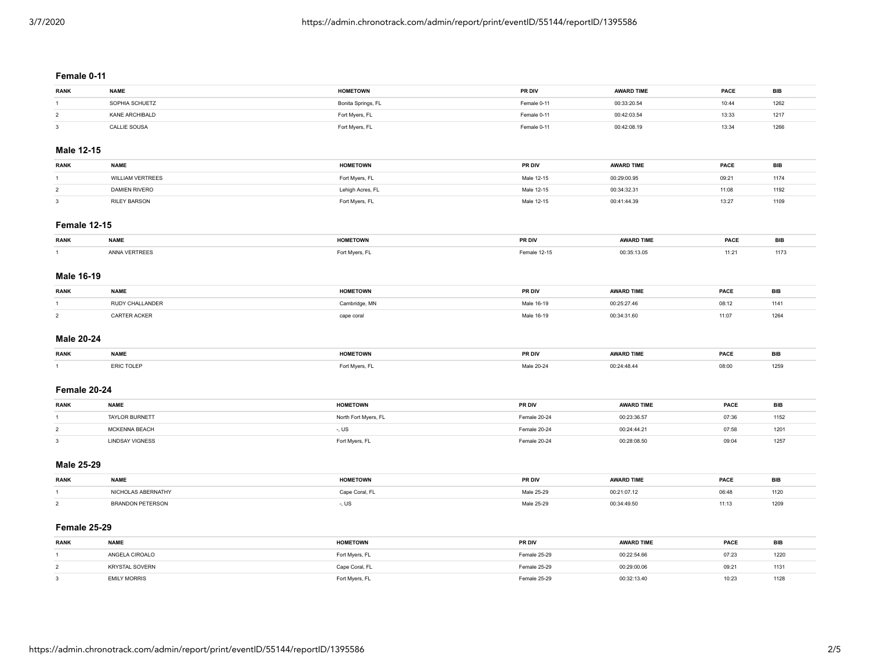## **Female 0-11**

| <b>RANK</b> | <b>NAME</b>    | <b>HOMETOWN</b>    | PR DIV      | <b>AWARD TIME</b> | PACE  | BIB  |
|-------------|----------------|--------------------|-------------|-------------------|-------|------|
|             | SOPHIA SCHUETZ | Bonita Springs, FL | Female 0-11 | 00:33:20.54       | 10:44 | 1262 |
|             | KANF ARCHIBALD | Fort Myers, FL     | Female 0-11 | 00:42:03.54       | 13:33 | 1217 |
|             | CALLIE SOUSA   | Fort Myers, FL     | Female 0-11 | 00:42:08.19       | 13:34 | 1266 |

# **Male 12-15**

| <b>RANK</b> | <b>NAME</b>          | <b>HOMETOWN</b>  | PR DIV     | <b>AWARD TIME</b> | PACE  | BIB  |
|-------------|----------------------|------------------|------------|-------------------|-------|------|
|             | VILLIAM VERTREES     | Fort Myers, FL   | Male 12-15 | 00:29:00.95       | 09:21 | 1174 |
|             | <b>DAMIEN RIVERO</b> | Lehigh Acres, FL | Male 12-15 | 00:34:32.31       | 11:08 | 1192 |
|             | RILFY BARSON         | Fort Myers, FL   | Male 12-15 | 00:41:44.39       | 13:27 | 1109 |

## **Female 12-15**

| <b>RANK</b> | <b>NAME</b> | <b>HOMETOWN</b> | PR DIV      | <b>AWARD TIME</b> | PACE |  |
|-------------|-------------|-----------------|-------------|-------------------|------|--|
|             | ERTREES     | 7. 1            | emale 12-15 | J0:35:13.05       | 11:2 |  |

## **Male 16-19**

| <b>RANK</b> | <b>NAME</b> | 10011770111<br>:IUWN | PR DIV    | <b>AWARD TIME</b> | PACE  |      |
|-------------|-------------|----------------------|-----------|-------------------|-------|------|
|             |             |                      | 16-19     | -- -- --          | 08:12 | 1141 |
|             |             | <u>.</u>             | $10 - 15$ |                   | 11:07 | 126  |

#### **Male 20-24**

| <b>RANK</b> | <b>NAME</b>       | <b>HOMETOWN</b> | PR DIV | <b>AWARD TIME</b>        | PACE  | -RI |
|-------------|-------------------|-----------------|--------|--------------------------|-------|-----|
|             | <b>ERIC TOLEF</b> |                 |        | $\overline{\phantom{a}}$ | 08:00 |     |

## **Female 20-24**

| <b>RANK</b> | <b>NAME</b>            | <b>HOMETOWN</b>      | <b>PR DIV</b> | <b>AWARD TIME</b> | PACE  | <b>BIB</b> |
|-------------|------------------------|----------------------|---------------|-------------------|-------|------------|
|             | <b>TAYLOR BURNETT</b>  | North Fort Myers, FL | Female 20-24  | 00:23:36.57       | 07:36 | 1152       |
|             | MCKENNA BEACH          | . ບຣ                 | Female 20-24  | 00:24:44.21       | 07:58 | 1201       |
|             | <b>LINDSAY VIGNESS</b> | Fort Myers, FL       | Female 20-24  | 00:28:08.50       | 09:04 | 125        |

#### **Male 25-29**

| <b>RANK</b> | <b>NAME</b>                | <br>: I UWN | PR DIV | <b>AWARD TIME</b> | PACE  | <b>BIB</b> |
|-------------|----------------------------|-------------|--------|-------------------|-------|------------|
|             | <b>AS ABERNATHY</b>        |             | Mole 1 | 00:21:07.12       | J6:48 | . 120      |
|             | <b>DDAND</b><br>ET ER SUIT |             |        | 0:34:49.5         | 11:13 | 1209       |

#### **Female 25-29**

| <b>RANK</b> | <b>NAME</b>           | <b>HOMETOWN</b> | PR DIV       | <b>AWARD TIME</b> | PACE  | BIB  |
|-------------|-----------------------|-----------------|--------------|-------------------|-------|------|
|             | ANGELA CIROALO        | Fort Myers, FL  | Female 25-29 | 00:22:54.66       | 07:23 | 1220 |
|             | <b>KRYSTAL SOVERN</b> | Cape Coral, FL  | Female 25-29 | 00:29:00.06       | 09:2' | 1131 |
|             | <b>EMILY MORRIS</b>   | Fort Myers, FL  | Female 25-29 | 00:32:13.40       | 10:23 | 1128 |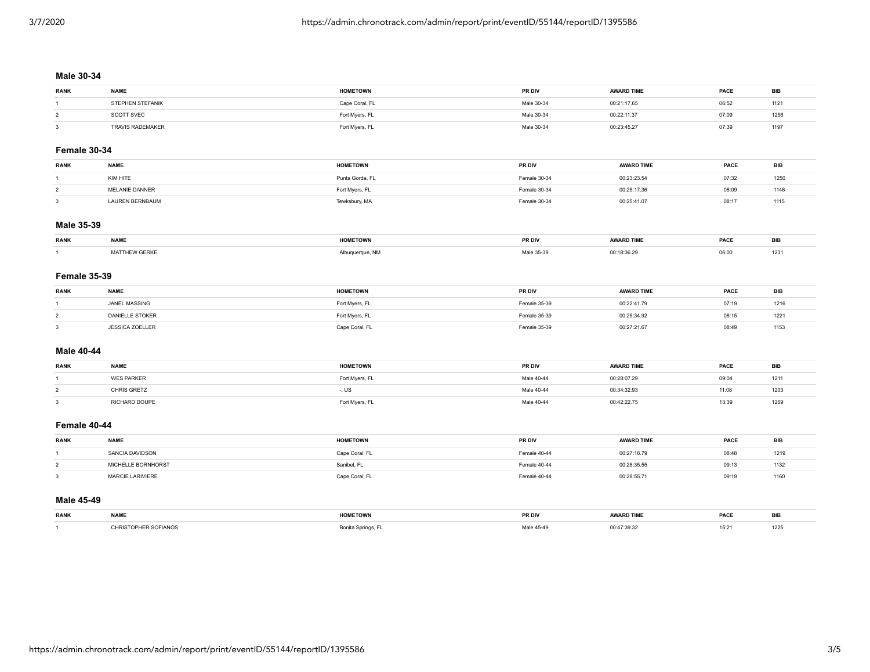## **Male 30-34**

| <b>RANK</b> | <b>NAME</b>             | <b>HOMETOWN</b> | <b>PR DIV</b> | <b>AWARD TIME</b> | PACE  | BIE  |
|-------------|-------------------------|-----------------|---------------|-------------------|-------|------|
|             | <b>STEPHEN STEFANIK</b> | Cape Coral, FL  | Male 30-34    | 00:21:17.65       | 06:52 | 112' |
|             | <b>SCOTT SVEC</b>       | Fort Myers, FL  | Male 30-34    | 00:22:11.37       | 07:09 | 1256 |
|             | TRAVIS RADEMAKER        | Fort Myers, FL  | Male 30-34    | 00:23:45.27       | 07:39 | 1197 |

## **Female 30-34**

| <b>RANK</b> | <b>NAME</b>    | <b>HOMETOWN</b> | <b>PR DIV</b> | <b>AWARD TIME</b> | PACE  | BIB  |
|-------------|----------------|-----------------|---------------|-------------------|-------|------|
|             | KIM HITE       | Punta Gorda, FL | Female 30-34  | 00:23:23.54       | 07:32 | 250  |
|             | MELANIE DANNER | Fort Myers, FL  | Female 30-34  | 00:25:17.36       | 08:09 | 1146 |
|             | AUREN BERNBAUM | Tewksbury, MA   | Female 30-34  | 00:25:41.07       | 08:17 | 1115 |

## **Male 35-39**

| <b>RANK</b> | <b>NAME</b>   | <b>JOMETOMA</b><br>EIUWN | <b>PR DIV</b>   | <b>AWARD TIMF</b> | PACE  | ייי |
|-------------|---------------|--------------------------|-----------------|-------------------|-------|-----|
|             | MATTHEW GERKE |                          | 35-39<br>Male - | :18:36.2          | 06:00 | 123 |

#### **Female 35-39**

| <b>RANK</b> | <b>NAME</b>            | <b>HOMETOWN</b> | <b>PR DIV</b> | <b>AWARD TIME</b> | <b>PACE</b> | <b>BIB</b> |
|-------------|------------------------|-----------------|---------------|-------------------|-------------|------------|
|             | JANEL MASSING          | Fort Myers, FL  | Female 35-39  | 00:22:41.79       | 07:19       | 1216       |
|             | <b>DANIELLE STOKER</b> | Fort Myers, FL  | Female 35-39  | 00:25:34.92       | 08:15       | 1221       |
|             | <b>JESSICA ZOELLER</b> | Cape Coral, FL  | Female 35-39  | 00:27:21.67       | 08:49       | 1153       |

## **Male 40-44**

| <b>RANK</b> | <b>NAME</b>       | <b>HOMETOWN</b> | <b>PR DIV</b> | <b>AWARD TIME</b> | PACE  | <b>BIB</b> |
|-------------|-------------------|-----------------|---------------|-------------------|-------|------------|
|             | <b>WES PARKER</b> | Fort Myers, FL  | Male 40-44    | 00:28:07.29       | 09:04 | 1211       |
|             | CHRIS GRETZ       | . ບວ            | Male 40-44    | 00:34:32.93       | 11:08 | 1203       |
|             | RICHARD DOUPE     | Fort Myers, FL  | Male 40-44    | 00:42:22.75       | 13:39 | 1269       |

#### **Female 40-44**

| <b>RANK</b> | <b>NAME</b>             | <b>HOMETOWN</b>         | PR DIV       | <b>AWARD TIME</b> | PACE  | <b>BIB</b> |
|-------------|-------------------------|-------------------------|--------------|-------------------|-------|------------|
|             | SANCIA DAVIDSON         | Cape Coral, FL          | Female 40-44 | 00:27:18.79       | 08:48 | 1219       |
|             | LLE BORNHORST           | <sup>า</sup> ลnibel. FL | Female 40-44 | 00:28:35.55       | 09:13 | 132        |
|             | <b>MARCIE LARIVIERE</b> | Cape Coral. FL          | Female 40-44 | 00:28:55.7        | 09:19 | 160        |

#### **Male 45-49**

| <b>RANK</b> | <b>NAME</b>         | <b>IOMETOWN</b> | PR DIV        | <b>AWARD TIME</b> | PACE | ⊔ט               |
|-------------|---------------------|-----------------|---------------|-------------------|------|------------------|
|             | <b>IFR SOFIANOS</b> | <b>Corner</b>   | $54 - 1 - 45$ | 0.47.30.32        | 15:2 | $\cdots$<br>1225 |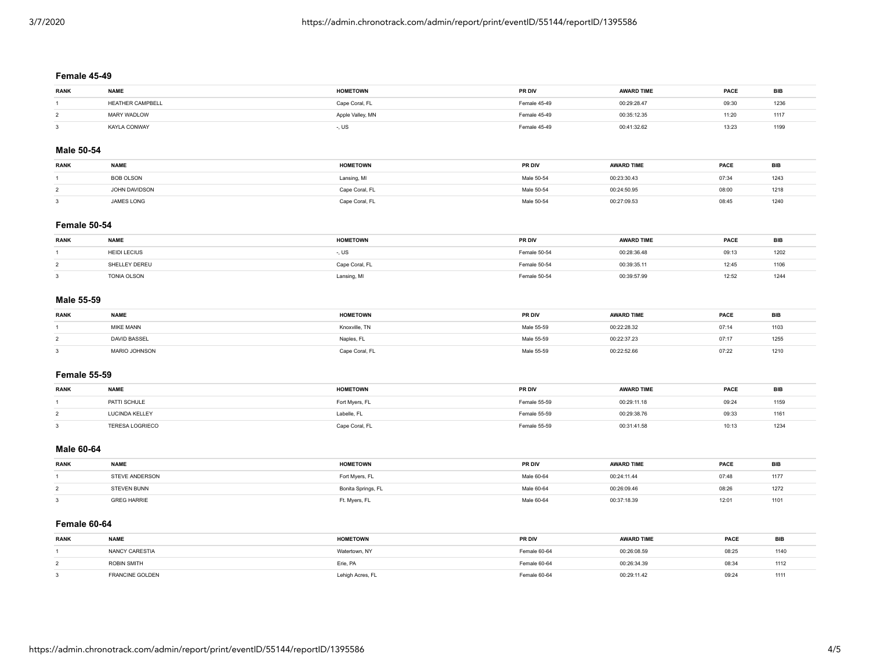## **Female 45-49**

| <b>RANK</b> | <b>NAME</b>      | <b>HOMETOWN</b>  | PR DIV       | <b>AWARD TIME</b> | PACE  | BIB  |
|-------------|------------------|------------------|--------------|-------------------|-------|------|
|             | HEATHER CAMPBELL | Cape Coral, FL   | Female 45-49 | 00:29:28.47       | 09:30 | 1236 |
|             | MARY WADLOW      | Apple Valley, MN | Female 45-49 | 00:35:12.35       | 11:20 | 1117 |
|             | KAYLA CONWAY     | -, US            | Female 45-49 | 00:41:32.62       | 13:23 | 1199 |

## **Male 50-54**

| <b>RANK</b> | <b>NAME</b>      | <b>HOMETOWN</b> | PR DIV     | <b>AWARD TIME</b> | PACE  | BIB  |
|-------------|------------------|-----------------|------------|-------------------|-------|------|
|             | <b>BOB OLSON</b> | ansing, MI      | Male 50-54 | 00:23:30.43       | 07:34 | 1243 |
|             | OHN DAVIDSON     | ിന്റെ Coral, FL | Male 50-54 | 00:24:50.95       | 08:00 | 1218 |
|             | JAMES LONG       | Coral. Fl       | Male 50-54 | 00:27:09.53       | 08:45 | 1240 |

## **Female 50-54**

| <b>RANK</b> | <b>NAME</b>         | <b>HOMETOWN</b> | PR DIV       | <b>AWARD TIME</b> | PACE  | <b>BIB</b> |
|-------------|---------------------|-----------------|--------------|-------------------|-------|------------|
|             | <b>HEIDI LECIUS</b> | , ບຽ            | Female 50-54 | 00:28:36.48       | 09:13 | 1202       |
|             | SHELLEY DEREU       | Cape Coral, FL  | Female 50-54 | 00:39:35.11       | 12:45 | 1106       |
|             | TONIA OLSON         | Lansing, MI     | Female 50-54 | 00:39:57.99       | 12:52 | 1244       |

## **Male 55-59**

| <b>RANK</b> | <b>NAME</b>         | <b>HOMETOWN</b> | PR DIV     | <b>AWARD TIME</b> | PACE  | BIE  |
|-------------|---------------------|-----------------|------------|-------------------|-------|------|
|             | MIKE MANN           | Knoxville, TN   | Male 55-59 | 00:22:28.32       | 07:14 | 1103 |
|             | <b>DAVID BASSEL</b> | Naples, FL      | Male 55-59 | 00:22:37.23       | 07:17 | 1255 |
|             | MARIO JOHNSON       | `ape Coral, FL  | Male 55-59 | 00:22:52.66       | 07:22 | 1210 |

#### **Female 55-59**

| <b>RANK</b> | <b>NAME</b>            | <b>HOMETOWN</b> | PR DIV       | <b>AWARD TIME</b> | PACE  | <b>BIB</b> |
|-------------|------------------------|-----------------|--------------|-------------------|-------|------------|
|             | PATTI SCHULE           | Fort Myers, FL  | Female 55-59 | 00:29:11.18       | 09:24 | 1159       |
|             | LUCINDA KELLEY         | Labelle, FL     | Female 55-59 | 00:29:38.76       | 09:33 | 1161       |
|             | <b>TERESA LOGRIECO</b> |                 | emale 55-59  | 00:31:41.58       | 10:13 | 1234       |

#### **Male 60-64**

| <b>RANK</b> | <b>NAME</b>        | <b>HOMETOWN</b>    | <b>PR DIV</b> | <b>AWARD TIME</b> | PACE  | BIB  |
|-------------|--------------------|--------------------|---------------|-------------------|-------|------|
|             | STEVE ANDERSON     | Fort Myers, FL     | Male 60-64    | 00:24:11.44       | 07:48 | 1177 |
|             | <b>STEVEN BUNN</b> | Bonita Springs, FL | Male 60-64    | 00:26:09.46       | 08:26 | 1272 |
|             | <b>GREG HARRIE</b> | Ft. Myers, FL      | Male 60-64    | 00:37:18.39       | 12:01 | 1101 |

# **Female 60-64**

| <b>RANK</b> | <b>NAME</b>                   | <b>HOMETOWN</b> | PR DIV       | <b>AWARD TIME</b> | PACE  | BЬ   |
|-------------|-------------------------------|-----------------|--------------|-------------------|-------|------|
|             | NANCY CARESTIA                | Watertown, NY   | Female 60-64 | 00:26:08.59       | 08:25 | 1140 |
|             | ROBIN SMITH                   | Erie, PA        | Female 60-64 | 00:26:34.39       | 08:34 | 1112 |
|             | <b><i>ERANCINE GOLDEN</i></b> | ehigh Acres, FL | Female 60-64 | 00:29:11.42       | 09:24 | 1111 |